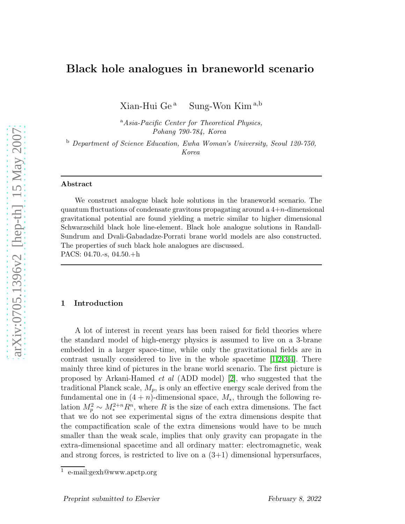# Black hole analogues in braneworld scenario

Xian-Hui Ge<sup>a</sup> Sung-Won Kim<sup>a,b</sup>

<sup>a</sup>Asia-Pacific Center for Theoretical Physics, Pohang 790-784, Korea

<sup>b</sup> Department of Science Education, Ewha Woman's University, Seoul 120-750, Korea

#### Abstract

We construct analogue black hole solutions in the braneworld scenario. The quantum fluctuations of condensate gravitons propagating around a  $4+n$ -dimensional gravitational potential are found yielding a metric similar to higher dimensional Schwarzschild black hole line-element. Black hole analogue solutions in Randall-Sundrum and Dvali-Gabadadze-Porrati brane world models are also constructed. The properties of such black hole analogues are discussed. PACS: 04.70.-s, 04.50.+h

#### 1 Introduction

A lot of interest in recent years has been raised for field theories where the standard model of high-energy physics is assumed to live on a 3-brane embedded in a larger space-time, while only the gravitational fields are in contrast usually considered to live in the whole spacetime [\[1](#page-10-0)[,2](#page-10-1)[,3](#page-10-2)[,4\]](#page-10-3). There mainly three kind of pictures in the brane world scenario. The first picture is proposed by Arkani-Hamed et al (ADD model) [\[2\]](#page-10-1), who suggested that the traditional Planck scale,  $M_p$ , is only an effective energy scale derived from the fundamental one in  $(4 + n)$ -dimensional space,  $M_*$ , through the following relation  $M_p^2 \sim M_*^{2+n} R^n$ , where R is the size of each extra dimensions. The fact that we do not see experimental signs of the extra dimensions despite that the compactification scale of the extra dimensions would have to be much smaller than the weak scale, implies that only gravity can propagate in the extra-dimensional spacetime and all ordinary matter: electromagnetic, weak and strong forces, is restricted to live on a  $(3+1)$  dimensional hypersurfaces,

<sup>1</sup> e-mail:gexh@www.apctp.org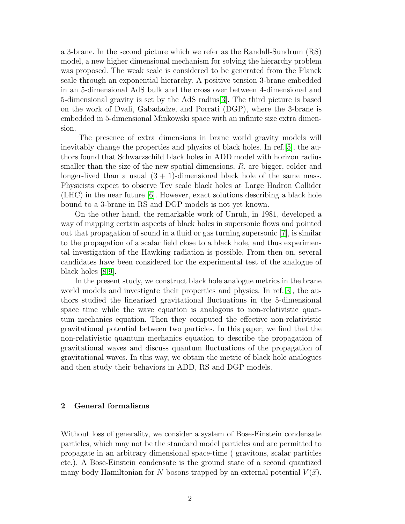a 3-brane. In the second picture which we refer as the Randall-Sundrum (RS) model, a new higher dimensional mechanism for solving the hierarchy problem was proposed. The weak scale is considered to be generated from the Planck scale through an exponential hierarchy. A positive tension 3-brane embedded in an 5-dimensional AdS bulk and the cross over between 4-dimensional and 5-dimensional gravity is set by the AdS radius[\[3\]](#page-10-2). The third picture is based on the work of Dvali, Gabadadze, and Porrati (DGP), where the 3-brane is embedded in 5-dimensional Minkowski space with an infinite size extra dimension.

The presence of extra dimensions in brane world gravity models will inevitably change the properties and physics of black holes. In ref.[\[5\]](#page-10-4), the authors found that Schwarzschild black holes in ADD model with horizon radius smaller than the size of the new spatial dimensions,  $R$ , are bigger, colder and longer-lived than a usual  $(3 + 1)$ -dimensional black hole of the same mass. Physicists expect to observe Tev scale black holes at Large Hadron Collider (LHC) in the near future [\[6\]](#page-10-5). However, exact solutions describing a black hole bound to a 3-brane in RS and DGP models is not yet known.

On the other hand, the remarkable work of Unruh, in 1981, developed a way of mapping certain aspects of black holes in supersonic flows and pointed out that propagation of sound in a fluid or gas turning supersonic [\[7\]](#page-10-6), is similar to the propagation of a scalar field close to a black hole, and thus experimental investigation of the Hawking radiation is possible. From then on, several candidates have been considered for the experimental test of the analogue of black holes [\[8](#page-10-7)[,9\]](#page-11-0).

In the present study, we construct black hole analogue metrics in the brane world models and investigate their properties and physics. In ref.[\[3\]](#page-10-2), the authors studied the linearized gravitational fluctuations in the 5-dimensional space time while the wave equation is analogous to non-relativistic quantum mechanics equation. Then they computed the effective non-relativistic gravitational potential between two particles. In this paper, we find that the non-relativistic quantum mechanics equation to describe the propagation of gravitational waves and discuss quantum fluctuations of the propagation of gravitational waves. In this way, we obtain the metric of black hole analogues and then study their behaviors in ADD, RS and DGP models.

# 2 General formalisms

Without loss of generality, we consider a system of Bose-Einstein condensate particles, which may not be the standard model particles and are permitted to propagate in an arbitrary dimensional space-time ( gravitons, scalar particles etc.). A Bose-Einstein condensate is the ground state of a second quantized many body Hamiltonian for N bosons trapped by an external potential  $V(\vec{x})$ .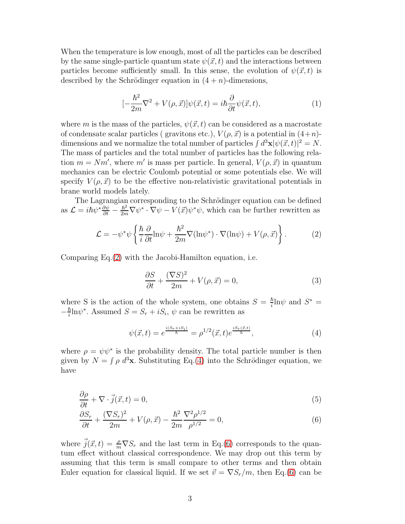When the temperature is low enough, most of all the particles can be described by the same single-particle quantum state  $\psi(\vec{x}, t)$  and the interactions between particles become sufficiently small. In this sense, the evolution of  $\psi(\vec{x}, t)$  is described by the Schrödinger equation in  $(4 + n)$ -dimensions,

$$
[-\frac{\hbar^2}{2m}\nabla^2 + V(\rho, \vec{x})]\psi(\vec{x}, t) = i\hbar \frac{\partial}{\partial t}\psi(\vec{x}, t), \tag{1}
$$

where m is the mass of the particles,  $\psi(\vec{x}, t)$  can be considered as a macrostate of condensate scalar particles ( gravitons etc.),  $V(\rho, \vec{x})$  is a potential in  $(4+n)$ dimensions and we normalize the total number of particles  $\int d^3\mathbf{x} |\psi(\vec{x},t)|^2 = N$ . The mass of particles and the total number of particles has the following relation  $m = Nm'$ , where m' is mass per particle. In general,  $V(\rho, \vec{x})$  in quantum mechanics can be electric Coulomb potential or some potentials else. We will specify  $V(\rho, \vec{x})$  to be the effective non-relativistic gravitational potentials in brane world models lately.

The Lagrangian corresponding to the Schrödinger equation can be defined as  $\mathcal{L} = i\hbar\psi^*\frac{\partial\psi}{\partial t} - \frac{\hbar^2}{2m}\nabla\psi^*\cdot\nabla\psi - \tilde{V}(\vec{x})\psi^*\psi$ , which can be further rewritten as

<span id="page-2-0"></span>
$$
\mathcal{L} = -\psi^* \psi \left\{ \frac{\hbar}{i} \frac{\partial}{\partial t} \text{ln} \psi + \frac{\hbar^2}{2m} \nabla (\text{ln} \psi^*) \cdot \nabla (\text{ln} \psi) + V(\rho, \vec{x}) \right\}.
$$
 (2)

Comparing Eq.[\(2\)](#page-2-0) with the Jacobi-Hamilton equation, i.e.

$$
\frac{\partial S}{\partial t} + \frac{(\nabla S)^2}{2m} + V(\rho, \vec{x}) = 0,\tag{3}
$$

where S is the action of the whole system, one obtains  $S = \frac{\hbar}{i}$  $\frac{\hbar}{i}$ ln $\psi$  and  $S^*$  =  $-\frac{\hbar}{i}$  $\frac{\hbar}{i}$ ln $\psi^*$ . Assumed  $S = S_r + iS_i$ ,  $\psi$  can be rewritten as

<span id="page-2-1"></span>
$$
\psi(\vec{x},t) = e^{\frac{i(S_r + iS_i)}{\hbar}} = \rho^{1/2}(\vec{x},t)e^{\frac{iS_r(\vec{x},t)}{\hbar}},\tag{4}
$$

where  $\rho = \psi \psi^*$  is the probability density. The total particle number is then given by  $N = \int \rho \, d^3\mathbf{x}$ . Substituting Eq.[\(4\)](#page-2-1) into the Schrödinger equation, we have

<span id="page-2-2"></span>
$$
\frac{\partial \rho}{\partial t} + \nabla \cdot \vec{j}(\vec{x}, t) = 0,\tag{5}
$$

$$
\frac{\partial S_r}{\partial t} + \frac{(\nabla S_r)^2}{2m} + V(\rho, \vec{x}) - \frac{\hbar^2}{2m} \frac{\nabla^2 \rho^{1/2}}{\rho^{1/2}} = 0,
$$
\n(6)

where  $\vec{j}(\vec{x}, t) = \frac{\rho}{m} \nabla S_r$  and the last term in Eq.[\(6\)](#page-2-2) corresponds to the quantum effect without classical correspondence. We may drop out this term by assuming that this term is small compare to other terms and then obtain Euler equation for classical liquid. If we set  $\vec{v} = \nabla S_r/m$ , then Eq.[\(6\)](#page-2-2) can be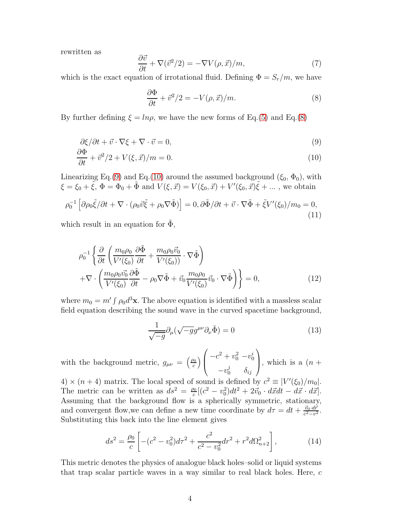rewritten as

$$
\frac{\partial \vec{v}}{\partial t} + \nabla (\vec{v}^2/2) = -\nabla V(\rho, \vec{x})/m,\tag{7}
$$

which is the exact equation of irrotational fluid. Defining  $\Phi = S_r/m$ , we have

<span id="page-3-0"></span>
$$
\frac{\partial \Phi}{\partial t} + \vec{v}^2/2 = -V(\rho, \vec{x})/m.
$$
 (8)

By further defining  $\xi = ln\rho$ , we have the new forms of Eq.[\(5\)](#page-2-2) and Eq.[\(8\)](#page-3-0)

<span id="page-3-1"></span>
$$
\frac{\partial \xi}{\partial t} + \vec{v} \cdot \nabla \xi + \nabla \cdot \vec{v} = 0,\tag{9}
$$

$$
\frac{\partial \Phi}{\partial t} + \vec{v}^2/2 + V(\xi, \vec{x})/m = 0.
$$
\n(10)

Linearizing Eq.[\(9\)](#page-3-1) and Eq.[\(10\)](#page-3-1) around the assumed background  $(\xi_0, \Phi_0)$ , with  $\xi = \xi_0 + \tilde{\xi}, \Phi = \Phi_0 + \tilde{\Phi} \text{ and } V(\xi, \vec{x}) = V(\xi_0, \vec{x}) + V'(\xi_0, \vec{x})\tilde{\xi} + \dots$ , we obtain

$$
\rho_0^{-1} \left[ \partial \rho_0 \tilde{\xi} / \partial t + \nabla \cdot (\rho_0 \vec{v} \tilde{\xi} + \rho_0 \nabla \tilde{\Phi}) \right] = 0, \partial \tilde{\Phi} / \partial t + \vec{v} \cdot \nabla \tilde{\Phi} + \tilde{\xi} V'(\xi_0) / m_0 = 0,
$$
\n(11)

which result in an equation for  $\Phi$ ,

$$
\rho_0^{-1} \left\{ \frac{\partial}{\partial t} \left( \frac{m_0 \rho_0}{V'(\xi_0)} \frac{\partial \tilde{\Phi}}{\partial t} + \frac{m_0 \rho_0 \vec{v_0}}{V'(\xi_0)} \cdot \nabla \tilde{\Phi} \right) + \nabla \cdot \left( \frac{m_0 \rho_0 \vec{v_0}}{V'(\xi_0)} \frac{\partial \tilde{\Phi}}{\partial t} - \rho_0 \nabla \tilde{\Phi} + \vec{v_0} \frac{m_0 \rho_0}{V'(\xi_0)} \vec{v_0} \cdot \nabla \tilde{\Phi} \right) \right\} = 0,
$$
\n(12)

where  $m_0 = m' \int \rho_0 d^3 \mathbf{x}$ . The above equation is identified with a massless scalar field equation describing the sound wave in the curved spacetime background,

$$
\frac{1}{\sqrt{-g}}\partial_{\mu}(\sqrt{-g}g^{\mu\nu}\partial_{\nu}\tilde{\Phi}) = 0
$$
\n(13)

with the background metric,  $g_{\mu\nu} = \left(\frac{\rho_0}{c}\right)$  $\frac{p_0}{c}\Big)$  $\sqrt{ }$  $\left\lfloor \right\rfloor$  $-c^2 + v_0^2 - v_0^i$  $-v_0^j$   $\delta_{ij}$  $\setminus$ , which is a  $(n +$ 

 $(4) \times (n+4)$  matrix. The local speed of sound is defined by  $c^2 \equiv |V'(\xi_0)/m_0|$ . The metric can be written as  $ds^2 = \frac{\rho_0}{c}$  $\frac{c_0}{c}[(c^2-v_0^2)dt^2+2\vec{v}_0\cdot d\vec{x}dt-d\vec{x}\cdot d\vec{x}].$ Assuming that the background flow is a spherically symmetric, stationary, and convergent flow, we can define a new time coordinate by  $d\tau = dt + \frac{\vec{v}_0 d\vec{r}}{c^2 - v^2}$  $\frac{v_0 \cdot dr}{c^2-v^2}$ . Substituting this back into the line element gives

<span id="page-3-2"></span>
$$
ds^{2} = \frac{\rho_{0}}{c} \left[ -(c^{2} - v_{0}^{2})d\tau^{2} + \frac{c^{2}}{c^{2} - v_{0}^{2}}dr^{2} + r^{2}d\Omega_{n+2}^{2} \right],
$$
 (14)

This metric denotes the physics of analogue black holes–solid or liquid systems that trap scalar particle waves in a way similar to real black holes. Here, c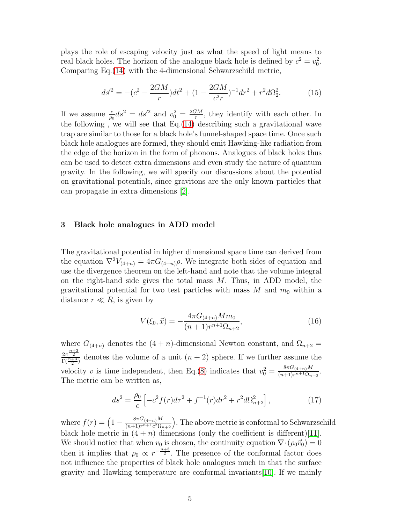plays the role of escaping velocity just as what the speed of light means to real black holes. The horizon of the analogue black hole is defined by  $c^2 = v_0^2$ . Comparing Eq.[\(14\)](#page-3-2) with the 4-dimensional Schwarzschild metric,

$$
ds'^2 = -(c^2 - \frac{2GM}{r})dt^2 + (1 - \frac{2GM}{c^2r})^{-1}dr^2 + r^2d\Omega_2^2.
$$
 (15)

If we assume  $\frac{c}{\rho_0}ds^2 = ds'^2$  and  $v_0^2 = \frac{2GM}{r}$  $\frac{GM}{r}$ , they identify with each other. In the following , we will see that Eq.[\(14\)](#page-3-2) describing such a gravitational wave trap are similar to those for a black hole's funnel-shaped space time. Once such black hole analogues are formed, they should emit Hawking-like radiation from the edge of the horizon in the form of phonons. Analogues of black holes thus can be used to detect extra dimensions and even study the nature of quantum gravity. In the following, we will specify our discussions about the potential on gravitational potentials, since gravitons are the only known particles that can propagate in extra dimensions [\[2\]](#page-10-1).

# 3 Black hole analogues in ADD model

The gravitational potential in higher dimensional space time can derived from the equation  $\nabla^2 V_{(4+n)} = 4\pi G_{(4+n)}\rho$ . We integrate both sides of equation and use the divergence theorem on the left-hand and note that the volume integral on the right-hand side gives the total mass  $M$ . Thus, in ADD model, the gravitational potential for two test particles with mass  $M$  and  $m_0$  within a distance  $r \ll R$ , is given by

$$
V(\xi_0, \vec{x}) = -\frac{4\pi G_{(4+n)} M m_0}{(n+1)r^{n+1}\Omega_{n+2}},\tag{16}
$$

where  $G_{(4+n)}$  denotes the  $(4+n)$ -dimensional Newton constant, and  $\Omega_{n+2}$  $\frac{2\pi^{\frac{n+3}{2}}}{\Gamma(\frac{n+3}{2})}$  denotes the volume of a unit  $(n+2)$  sphere. If we further assume the 2 velocity v is time independent, then Eq.[\(8\)](#page-3-0) indicates that  $v_0^2 = \frac{8\pi G_{(4+n)}M}{(n+1)r^{n+1}\Omega_n}$  $\frac{6nG(4+n)^{M}}{(n+1)r^{n+1}\Omega_{n+2}}$ . The metric can be written as,

<span id="page-4-0"></span>
$$
ds^{2} = \frac{\rho_{0}}{c} \left[ -c^{2} f(r) d\tau^{2} + f^{-1}(r) dr^{2} + r^{2} d\Omega_{n+2}^{2} \right],
$$
 (17)

where  $f(r) = \left(1 - \frac{8\pi G_{(4+n)}M}{(n+1)r^{n+1}c^2\Omega_n}\right)$  $\frac{8\pi G_{(4+n)}M}{(n+1)r^{n+1}c^2\Omega_{n+2}}$ . The above metric is conformal to Schwarzschild black hole metric in  $(4 + n)$  dimensions (only the coefficient is different)[\[11\]](#page-11-1). We should notice that when  $v_0$  is chosen, the continuity equation  $\nabla \cdot (\rho_0 \vec{v}_0) = 0$ then it implies that  $\rho_0 \propto r^{-\frac{n+3}{2}}$ . The presence of the conformal factor does not influence the properties of black hole analogues much in that the surface gravity and Hawking temperature are conformal invariants[\[10\]](#page-11-2). If we mainly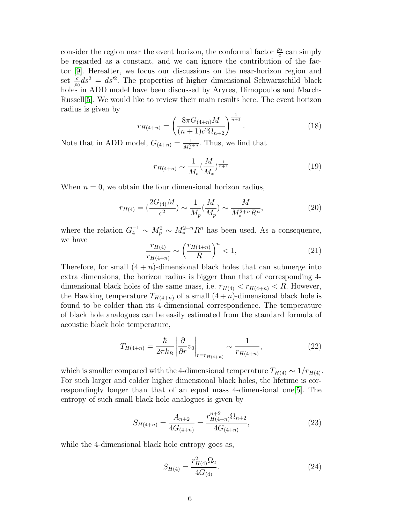consider the region near the event horizon, the conformal factor  $\frac{\rho_0}{c}$  $\frac{p_0}{c}$  can simply be regarded as a constant, and we can ignore the contribution of the factor [\[9\]](#page-11-0). Hereafter, we focus our discussions on the near-horizon region and set  $\frac{c}{\rho_0} ds^2 = ds'^2$ . The properties of higher dimensional Schwarzschild black holes in ADD model have been discussed by Aryres, Dimopoulos and March-Russell[\[5\]](#page-10-4). We would like to review their main results here. The event horizon radius is given by

$$
r_{H(4+n)} = \left(\frac{8\pi G_{(4+n)}M}{(n+1)c^2\Omega_{n+2}}\right)^{\frac{1}{n+1}}.\tag{18}
$$

Note that in ADD model,  $G_{(4+n)} = \frac{1}{M_*^{2+n}}$ . Thus, we find that

$$
r_{H(4+n)} \sim \frac{1}{M_*} \left(\frac{M}{M_*}\right)^{\frac{1}{n+1}}
$$
\n(19)

When  $n = 0$ , we obtain the four dimensional horizon radius,

$$
r_{H(4)} = \left(\frac{2G_{(4)}M}{c^2}\right) \sim \frac{1}{M_p} \left(\frac{M}{M_p}\right) \sim \frac{M}{M_*^{2+n}R^n},\tag{20}
$$

where the relation  $G_4^{-1} \sim M_p^2 \sim M_*^{2+n} R^n$  has been used. As a consequence, we have

$$
\frac{r_{H(4)}}{r_{H(4+n)}} \sim \left(\frac{r_{H(4+n)}}{R}\right)^n < 1,\tag{21}
$$

Therefore, for small  $(4 + n)$ -dimensional black holes that can submerge into extra dimensions, the horizon radius is bigger than that of corresponding 4 dimensional black holes of the same mass, i.e.  $r_{H(4)} < r_{H(4+n)} < R$ . However, the Hawking temperature  $T_{H(4+n)}$  of a small  $(4+n)$ -dimensional black hole is found to be colder than its 4-dimensional correspondence. The temperature of black hole analogues can be easily estimated from the standard formula of acoustic black hole temperature,

$$
T_{H(4+n)} = \frac{\hbar}{2\pi k_B} \left| \frac{\partial}{\partial r} v_0 \right|_{r = r_{H(4+n)}} \sim \frac{1}{r_{H(4+n)}},\tag{22}
$$

which is smaller compared with the 4-dimensional temperature  $T_{H(4)} \sim 1/r_{H(4)}$ . For such larger and colder higher dimensional black holes, the lifetime is correspondingly longer than that of an equal mass 4-dimensional one[\[5\]](#page-10-4). The entropy of such small black hole analogues is given by

<span id="page-5-0"></span>
$$
S_{H(4+n)} = \frac{A_{n+2}}{4G_{(4+n)}} = \frac{r_{H(4+n)}^{n+2} \Omega_{n+2}}{4G_{(4+n)}},
$$
\n(23)

while the 4-dimensional black hole entropy goes as,

<span id="page-5-1"></span>
$$
S_{H(4)} = \frac{r_{H(4)}^2 \Omega_2}{4G_{(4)}}.
$$
\n(24)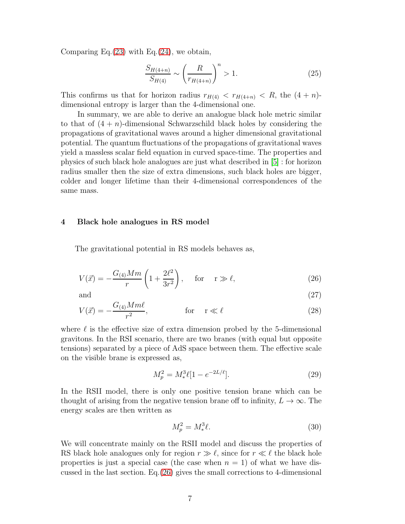Comparing Eq. $(23)$  with Eq. $(24)$ , we obtain,

$$
\frac{S_{H(4+n)}}{S_{H(4)}} \sim \left(\frac{R}{r_{H(4+n)}}\right)^n > 1.
$$
\n(25)

This confirms us that for horizon radius  $r_{H(4)} < r_{H(4+n)} < R$ , the  $(4+n)$ dimensional entropy is larger than the 4-dimensional one.

In summary, we are able to derive an analogue black hole metric similar to that of  $(4 + n)$ -dimensional Schwarzschild black holes by considering the propagations of gravitational waves around a higher dimensional gravitational potential. The quantum fluctuations of the propagations of gravitational waves yield a massless scalar field equation in curved space-time. The properties and physics of such black hole analogues are just what described in [\[5\]](#page-10-4) : for horizon radius smaller then the size of extra dimensions, such black holes are bigger, colder and longer lifetime than their 4-dimensional correspondences of the same mass.

#### 4 Black hole analogues in RS model

The gravitational potential in RS models behaves as,

<span id="page-6-0"></span>
$$
V(\vec{x}) = -\frac{G_{(4)}Mm}{r} \left(1 + \frac{2\ell^2}{3r^2}\right), \quad \text{for} \quad r \gg \ell,
$$
\n(26)

and  $(27)$ 

$$
V(\vec{x}) = -\frac{G_{(4)}Mm\ell}{r^2}, \qquad \text{for} \quad \mathbf{r} \ll \ell \tag{28}
$$

where  $\ell$  is the effective size of extra dimension probed by the 5-dimensional gravitons. In the RSI scenario, there are two branes (with equal but opposite tensions) separated by a piece of AdS space between them. The effective scale on the visible brane is expressed as,

$$
M_p^2 = M_*^3 \ell [1 - e^{-2L/\ell}]. \tag{29}
$$

In the RSII model, there is only one positive tension brane which can be thought of arising from the negative tension brane off to infinity,  $L \to \infty$ . The energy scales are then written as

$$
M_p^2 = M_*^3 \ell. \tag{30}
$$

We will concentrate mainly on the RSII model and discuss the properties of RS black hole analogues only for region  $r \gg \ell$ , since for  $r \ll \ell$  the black hole properties is just a special case (the case when  $n = 1$ ) of what we have discussed in the last section. Eq.[\(26\)](#page-6-0) gives the small corrections to 4-dimensional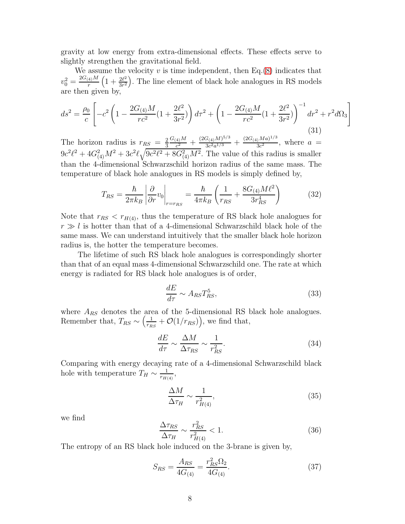gravity at low energy from extra-dimensional effects. These effects serve to slightly strengthen the gravitational field.

We assume the velocity  $v$  is time independent, then Eq.[\(8\)](#page-3-0) indicates that  $v_0^2 = \frac{2G_{(4)}M}{r}$  $\frac{q_1 M}{r} \left( 1 + \frac{2\ell^2}{3r^2} \right)$  $\frac{2\ell^2}{3r^2}$ . The line element of black hole analogues in RS models are then given by,

$$
ds^{2} = \frac{\rho_{0}}{c} \left[ -c^{2} \left( 1 - \frac{2G_{(4)}M}{rc^{2}} \left( 1 + \frac{2\ell^{2}}{3r^{2}} \right) \right) d\tau^{2} + \left( 1 - \frac{2G_{(4)}M}{rc^{2}} \left( 1 + \frac{2\ell^{2}}{3r^{2}} \right) \right)^{-1} dr^{2} + r^{2} d\Omega_{3} \right]
$$
\n(31)

The horizon radius is  $r_{RS} = \frac{2}{3}$ 3  $G_{(4)}M$  $\frac{d_4(M)}{c^2}+\frac{(2G_{(4)}M)^{5/3}}{3c^2a^{1/3}}$  $\frac{G_{(4)}M)^{5/3}}{3c^2a^{1/3}} + \frac{(2G_{(4)}Ma)^{1/3}}{3c^2}$  $rac{3c^2}{3c^2}$ , where  $a =$  $9c^2\ell^2 + 4G_{(4)}^2M^2 + 3c^2\ell\sqrt{9c^2\ell^2 + 8G_{(4)}^2M^2}$ . The value of this radius is smaller than the 4-dimensional Schwarzschild horizon radius of the same mass. The temperature of black hole analogues in RS models is simply defined by,

$$
T_{RS} = \frac{\hbar}{2\pi k_B} \left| \frac{\partial}{\partial r} v_0 \right|_{r=r_{RS}} = \frac{\hbar}{4\pi k_B} \left( \frac{1}{r_{RS}} + \frac{8G_{(4)}M\ell^2}{3r_{RS}^4} \right) \tag{32}
$$

Note that  $r_{RS} < r_{H(4)}$ , thus the temperature of RS black hole analogues for  $r \gg l$  is hotter than that of a 4-dimensional Schwarzschild black hole of the same mass. We can understand intuitively that the smaller black hole horizon radius is, the hotter the temperature becomes.

The lifetime of such RS black hole analogues is correspondingly shorter than that of an equal mass 4-dimensional Schwarzschild one. The rate at which energy is radiated for RS black hole analogues is of order,

$$
\frac{dE}{d\tau} \sim A_{RS} T_{RS}^5,\tag{33}
$$

where  $A_{RS}$  denotes the area of the 5-dimensional RS black hole analogues. Remember that,  $T_{RS} \sim \left(\frac{1}{r_R}\right)$  $\frac{1}{r_{RS}} + \mathcal{O}(1/r_{RS})\big)$ , we find that,

$$
\frac{dE}{d\tau} \sim \frac{\Delta M}{\Delta \tau_{RS}} \sim \frac{1}{r_{RS}^2}.\tag{34}
$$

Comparing with energy decaying rate of a 4-dimensional Schwarzschild black hole with temperature  $T_H \sim \frac{1}{r_{H0}}$  $\frac{1}{r_{H(4)}},$ 

$$
\frac{\Delta M}{\Delta \tau_H} \sim \frac{1}{r_{H(4)}^2},\tag{35}
$$

we find

$$
\frac{\Delta \tau_{RS}}{\Delta \tau_H} \sim \frac{r_{RS}^2}{r_{H(4)}^2} < 1. \tag{36}
$$

The entropy of an RS black hole induced on the 3-brane is given by,

$$
S_{RS} = \frac{A_{RS}}{4G_{(4)}} = \frac{r_{RS}^2 \Omega_2}{4G_{(4)}}.
$$
\n(37)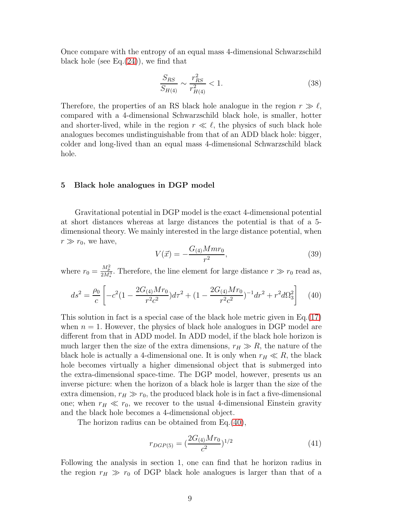Once compare with the entropy of an equal mass 4-dimensional Schwarzschild black hole (see Eq. $(24)$ ), we find that

$$
\frac{S_{RS}}{S_{H(4)}} \sim \frac{r_{RS}^2}{r_{H(4)}^2} < 1. \tag{38}
$$

Therefore, the properties of an RS black hole analogue in the region  $r \gg \ell$ , compared with a 4-dimensional Schwarzschild black hole, is smaller, hotter and shorter-lived, while in the region  $r \ll \ell$ , the physics of such black hole analogues becomes undistinguishable from that of an ADD black hole: bigger, colder and long-lived than an equal mass 4-dimensional Schwarzschild black hole.

### 5 Black hole analogues in DGP model

Gravitational potential in DGP model is the exact 4-dimensional potential at short distances whereas at large distances the potential is that of a 5 dimensional theory. We mainly interested in the large distance potential, when  $r \gg r_0$ , we have,

$$
V(\vec{x}) = -\frac{G_{(4)}Mmr_0}{r^2},\tag{39}
$$

where  $r_0 = \frac{M_p^2}{2M_*^3}$ . Therefore, the line element for large distance  $r \gg r_0$  read as,

<span id="page-8-0"></span>
$$
ds^{2} = \frac{\rho_{0}}{c} \left[ -c^{2} \left( 1 - \frac{2G_{(4)}Mr_{0}}{r^{2}c^{2}} \right) d\tau^{2} + \left( 1 - \frac{2G_{(4)}Mr_{0}}{r^{2}c^{2}} \right)^{-1} dr^{2} + r^{2} d\Omega_{3}^{2} \right] \tag{40}
$$

This solution in fact is a special case of the black hole metric given in Eq.[\(17\)](#page-4-0) when  $n = 1$ . However, the physics of black hole analogues in DGP model are different from that in ADD model. In ADD model, if the black hole horizon is much larger then the size of the extra dimensions,  $r_H \gg R$ , the nature of the black hole is actually a 4-dimensional one. It is only when  $r_H \ll R$ , the black hole becomes virtually a higher dimensional object that is submerged into the extra-dimensional space-time. The DGP model, however, presents us an inverse picture: when the horizon of a black hole is larger than the size of the extra dimension,  $r_H \gg r_0$ , the produced black hole is in fact a five-dimensional one; when  $r_H \ll r_0$ , we recover to the usual 4-dimensional Einstein gravity and the black hole becomes a 4-dimensional object.

The horizon radius can be obtained from Eq.[\(40\)](#page-8-0),

$$
r_{DGP(5)} = \left(\frac{2G_{(4)}Mr_0}{c^2}\right)^{1/2} \tag{41}
$$

Following the analysis in section 1, one can find that he horizon radius in the region  $r_H \gg r_0$  of DGP black hole analogues is larger than that of a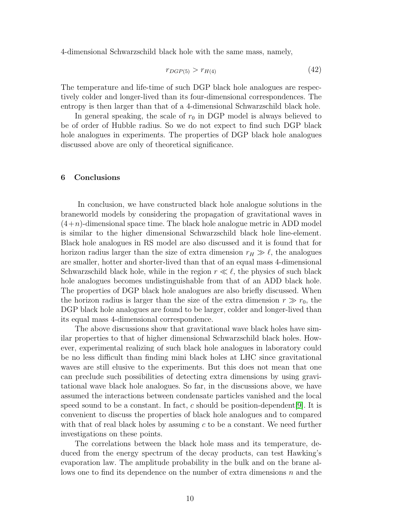4-dimensional Schwarzschild black hole with the same mass, namely,

$$
r_{DGP(5)} > r_{H(4)} \tag{42}
$$

The temperature and life-time of such DGP black hole analogues are respectively colder and longer-lived than its four-dimensional correspondences. The entropy is then larger than that of a 4-dimensional Schwarzschild black hole.

In general speaking, the scale of  $r_0$  in DGP model is always believed to be of order of Hubble radius. So we do not expect to find such DGP black hole analogues in experiments. The properties of DGP black hole analogues discussed above are only of theoretical significance.

# 6 Conclusions

In conclusion, we have constructed black hole analogue solutions in the braneworld models by considering the propagation of gravitational waves in  $(4+n)$ -dimensional space time. The black hole analogue metric in ADD model is similar to the higher dimensional Schwarzschild black hole line-element. Black hole analogues in RS model are also discussed and it is found that for horizon radius larger than the size of extra dimension  $r_H \gg \ell$ , the analogues are smaller, hotter and shorter-lived than that of an equal mass 4-dimensional Schwarzschild black hole, while in the region  $r \ll \ell$ , the physics of such black hole analogues becomes undistinguishable from that of an ADD black hole. The properties of DGP black hole analogues are also briefly discussed. When the horizon radius is larger than the size of the extra dimension  $r \gg r_0$ , the DGP black hole analogues are found to be larger, colder and longer-lived than its equal mass 4-dimensional correspondence.

The above discussions show that gravitational wave black holes have similar properties to that of higher dimensional Schwarzschild black holes. However, experimental realizing of such black hole analogues in laboratory could be no less difficult than finding mini black holes at LHC since gravitational waves are still elusive to the experiments. But this does not mean that one can preclude such possibilities of detecting extra dimensions by using gravitational wave black hole analogues. So far, in the discussions above, we have assumed the interactions between condensate particles vanished and the local speed sound to be a constant. In fact, c should be position-dependent [\[9\]](#page-11-0). It is convenient to discuss the properties of black hole analogues and to compared with that of real black holes by assuming  $c$  to be a constant. We need further investigations on these points.

The correlations between the black hole mass and its temperature, deduced from the energy spectrum of the decay products, can test Hawking's evaporation law. The amplitude probability in the bulk and on the brane allows one to find its dependence on the number of extra dimensions  $n$  and the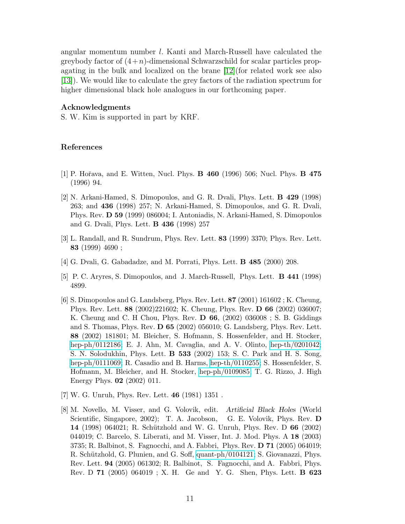angular momentum number l. Kanti and March-Russell have calculated the greybody factor of  $(4+n)$ -dimensional Schwarzschild for scalar particles propagating in the bulk and localized on the brane [\[12\]](#page-11-3)(for related work see also [\[13\]](#page-11-4)). We would like to calculate the grey factors of the radiation spectrum for higher dimensional black hole analogues in our forthcoming paper.

## Acknowledgments

S. W. Kim is supported in part by KRF.

# <span id="page-10-0"></span>References

- <span id="page-10-1"></span>[1] P. Hoˇrava, and E. Witten, Nucl. Phys. B 460 (1996) 506; Nucl. Phys. B 475 (1996) 94.
- [2] N. Arkani-Hamed, S. Dimopoulos, and G. R. Dvali, Phys. Lett. B 429 (1998) 263; and 436 (1998) 257; N. Arkani-Hamed, S. Dimopoulos, and G. R. Dvali, Phys. Rev. D 59 (1999) 086004; I. Antoniadis, N. Arkani-Hamed, S. Dimopoulos and G. Dvali, Phys. Lett. B 436 (1998) 257
- <span id="page-10-3"></span><span id="page-10-2"></span>[3] L. Randall, and R. Sundrum, Phys. Rev. Lett. 83 (1999) 3370; Phys. Rev. Lett. 83 (1999) 4690 ;
- <span id="page-10-4"></span>[4] G. Dvali, G. Gabadadze, and M. Porrati, Phys. Lett. B 485 (2000) 208.
- <span id="page-10-5"></span>[5] P. C. Aryres, S. Dimopoulos, and J. March-Russell, Phys. Lett. B 441 (1998) 4899.
- [6] S. Dimopoulos and G. Landsberg, Phys. Rev. Lett. 87 (2001) 161602 ; K. Cheung, Phys. Rev. Lett. 88 (2002)221602; K. Cheung, Phys. Rev. D 66 (2002) 036007; K. Cheung and C. H Chou, Phys. Rev. D 66, (2002) 036008 ; S. B. Giddings and S. Thomas, Phys. Rev. D 65 (2002) 056010; G. Landsberg, Phys. Rev. Lett. 88 (2002) 181801; M. Bleicher, S. Hofmann, S. Hossenfelder, and H. Stocker, [hep-ph/0112186;](http://arxiv.org/abs/hep-ph/0112186) E. J. Ahn, M. Cavaglia, and A. V. Olinto, [hep-th/0201042;](http://arxiv.org/abs/hep-th/0201042) S. N. Solodukhin, Phys. Lett. B 533 (2002) 153; S. C. Park and H. S. Song, [hep-ph/0111069;](http://arxiv.org/abs/hep-ph/0111069) R. Casadio and B. Harms, [hep-th/0110255;](http://arxiv.org/abs/hep-th/0110255) S. Hossenfelder, S. Hofmann, M. Bleicher, and H. Stocker, [hep-ph/0109085;](http://arxiv.org/abs/hep-ph/0109085) T. G. Rizzo, J. High Energy Phys. 02 (2002) 011.
- <span id="page-10-7"></span><span id="page-10-6"></span>[7] W. G. Unruh, Phys. Rev. Lett. 46 (1981) 1351 .
- [8] M. Novello, M. Visser, and G. Volovik, edit. Artificial Black Holes (World Scientific, Singapore, 2002); T. A. Jacobson, G. E. Volovik, Phys. Rev. D 14 (1998) 064021; R. Schützhold and W. G. Unruh, Phys. Rev. D 66 (2002) 044019; C. Barcelo, S. Liberati, and M. Visser, Int. J. Mod. Phys. A 18 (2003) 3735; R. Balbinot, S. Fagnocchi, and A. Fabbri, Phys. Rev. D 71 (2005) 064019; R. Schützhold, G. Plunien, and G. Soff, [quant-ph/0104121;](http://arxiv.org/abs/quant-ph/0104121) S. Giovanazzi, Phys. Rev. Lett. 94 (2005) 061302; R. Balbinot, S. Fagnocchi, and A. Fabbri, Phys. Rev. D 71 (2005) 064019 ; X. H. Ge and Y. G. Shen, Phys. Lett. B 623